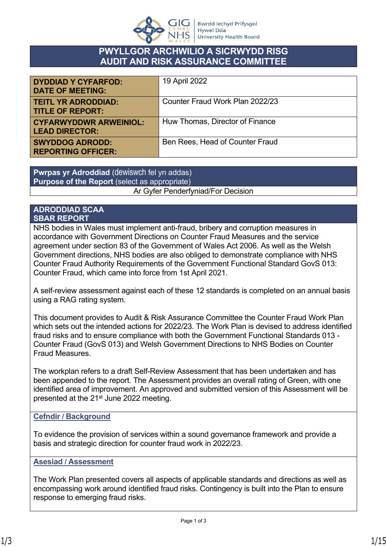

# **PWYLLGOR ARCHWILIO A SICRWYDD RISG AUDIT AND RISK ASSURANCE COMMITTEE**

| <b>DYDDIAD Y CYFARFOD:</b><br><b>DATE OF MEETING:</b>  | 19 April 2022                   |
|--------------------------------------------------------|---------------------------------|
| <b>TEITL YR ADRODDIAD:</b><br><b>TITLE OF REPORT:</b>  | Counter Fraud Work Plan 2022/23 |
| <b>CYFARWYDDWR ARWEINIOL:</b><br><b>LEAD DIRECTOR:</b> | Huw Thomas, Director of Finance |
| <b>SWYDDOG ADRODD:</b><br><b>REPORTING OFFICER:</b>    | Ben Rees, Head of Counter Fraud |

**Pwrpas yr Adroddiad** (dewiswch fel yn addas) **Purpose of the Report** (select as appropriate) Ar Gyfer Penderfyniad/For Decision

#### **ADRODDIAD SCAA SBAR REPORT**

NHS bodies in Wales must implement anti-fraud, bribery and corruption measures in accordance with Government Directions on Counter Fraud Measures and the service agreement under section 83 of the Government of Wales Act 2006. As well as the Welsh Government directions, NHS bodies are also obliged to demonstrate compliance with NHS Counter Fraud Authority Requirements of the Government Functional Standard GovS 013: Counter Fraud, which came into force from 1st April 2021.

A self-review assessment against each of these 12 standards is completed on an annual basis using a RAG rating system.

This document provides to Audit & Risk Assurance Committee the Counter Fraud Work Plan which sets out the intended actions for 2022/23. The Work Plan is devised to address identified fraud risks and to ensure compliance with both the Government Functional Standards 013 - Counter Fraud (GovS 013) and Welsh Government Directions to NHS Bodies on Counter Fraud Measures.

The workplan refers to a draft Self-Review Assessment that has been undertaken and has been appended to the report. The Assessment provides an overall rating of Green, with one identified area of improvement. An approved and submitted version of this Assessment will be presented at the 21<sup>st</sup> June 2022 meeting.

### **Cefndir / Background**

To evidence the provision of services within a sound governance framework and provide a basis and strategic direction for counter fraud work in 2022/23.

#### **Asesiad / Assessment**

The Work Plan presented covers all aspects of applicable standards and directions as well as encompassing work around identified fraud risks. Contingency is built into the Plan to ensure response to emerging fraud risks.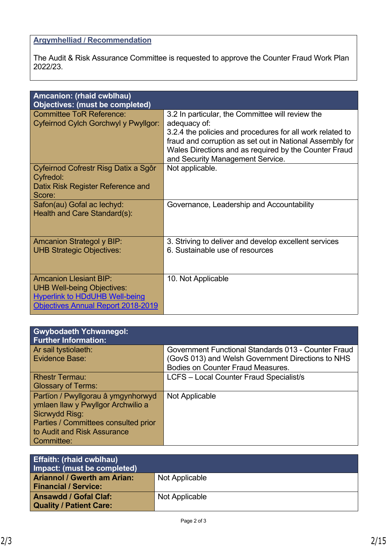# **Argymhelliad / Recommendation**

The Audit & Risk Assurance Committee is requested to approve the Counter Fraud Work Plan 2022/23.

| Amcanion: (rhaid cwblhau)                                                                                                                         |                                                                                                                                                                                                                                                                                        |  |
|---------------------------------------------------------------------------------------------------------------------------------------------------|----------------------------------------------------------------------------------------------------------------------------------------------------------------------------------------------------------------------------------------------------------------------------------------|--|
| Objectives: (must be completed)<br><b>Committee ToR Reference:</b><br>Cyfeirnod Cylch Gorchwyl y Pwyllgor:                                        | 3.2 In particular, the Committee will review the<br>adequacy of:<br>3.2.4 the policies and procedures for all work related to<br>fraud and corruption as set out in National Assembly for<br>Wales Directions and as required by the Counter Fraud<br>and Security Management Service. |  |
| Cyfeirnod Cofrestr Risg Datix a Sgôr<br>Cyfredol:<br>Datix Risk Register Reference and<br>Score:                                                  | Not applicable.                                                                                                                                                                                                                                                                        |  |
| Safon(au) Gofal ac lechyd:<br>Health and Care Standard(s):                                                                                        | Governance, Leadership and Accountability                                                                                                                                                                                                                                              |  |
| <b>Amcanion Strategol y BIP:</b><br><b>UHB Strategic Objectives:</b>                                                                              | 3. Striving to deliver and develop excellent services<br>6. Sustainable use of resources                                                                                                                                                                                               |  |
| <b>Amcanion Llesiant BIP:</b><br><b>UHB Well-being Objectives:</b><br><b>Hyperlink to HDdUHB Well-being</b><br>Objectives Annual Report 2018-2019 | 10. Not Applicable                                                                                                                                                                                                                                                                     |  |

| <b>Gwybodaeth Ychwanegol:</b><br><b>Further Information:</b> |                                                     |
|--------------------------------------------------------------|-----------------------------------------------------|
| Ar sail tystiolaeth:                                         | Government Functional Standards 013 - Counter Fraud |
| Evidence Base:                                               | (GovS 013) and Welsh Government Directions to NHS   |
|                                                              | <b>Bodies on Counter Fraud Measures.</b>            |
| <b>Rhestr Termau:</b>                                        | <b>LCFS</b> - Local Counter Fraud Specialist/s      |
| <b>Glossary of Terms:</b>                                    |                                                     |
| Partïon / Pwyllgorau â ymgynhorwyd                           | Not Applicable                                      |
| ymlaen llaw y Pwyllgor Archwilio a                           |                                                     |
| Sicrwydd Risg:                                               |                                                     |
| Parties / Committees consulted prior                         |                                                     |
| to Audit and Risk Assurance                                  |                                                     |
| Committee:                                                   |                                                     |

| Effaith: (rhaid cwblhau)<br>Impact: (must be completed) |                |
|---------------------------------------------------------|----------------|
| <b>Ariannol / Gwerth am Arian:</b>                      | Not Applicable |
| <b>Financial / Service:</b>                             |                |
| <b>Ansawdd / Gofal Claf:</b>                            | Not Applicable |
| <b>Quality / Patient Care:</b>                          |                |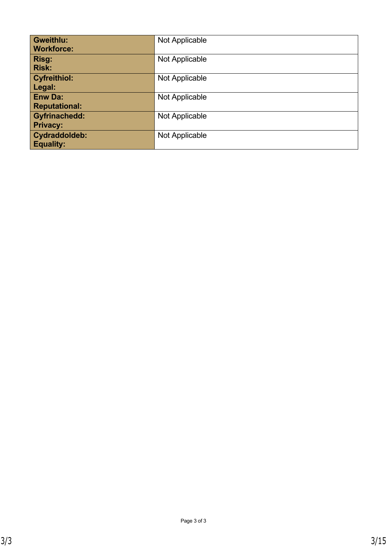| <b>Gweithlu:</b>     | Not Applicable |
|----------------------|----------------|
| <b>Workforce:</b>    |                |
| Risg:                | Not Applicable |
| <b>Risk:</b>         |                |
| <b>Cyfreithiol:</b>  | Not Applicable |
| Legal:               |                |
| Enw Da:              | Not Applicable |
| <b>Reputational:</b> |                |
| <b>Gyfrinachedd:</b> | Not Applicable |
| <b>Privacy:</b>      |                |
| Cydraddoldeb:        | Not Applicable |
| <b>Equality:</b>     |                |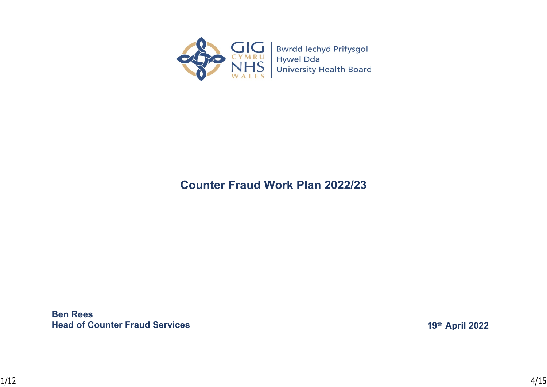

# **Counter Fraud Work Plan 2022/23**

**Ben Rees Head of Counter Fraud Services**

**19th April 2022**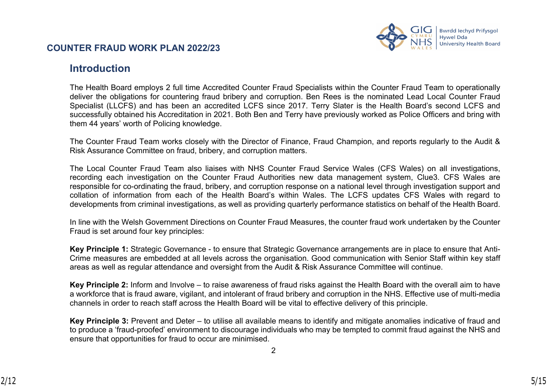

# **Introduction**

The Health Board employs 2 full time Accredited Counter Fraud Specialists within the Counter Fraud Team to operationally deliver the obligations for countering fraud bribery and corruption. Ben Rees is the nominated Lead Local Counter Fraud Specialist (LLCFS) and has been an accredited LCFS since 2017. Terry Slater is the Health Board's second LCFS and successfully obtained his Accreditation in 2021. Both Ben and Terry have previously worked as Police Officers and bring with them 44 years' worth of Policing knowledge.

The Counter Fraud Team works closely with the Director of Finance, Fraud Champion, and reports regularly to the Audit & Risk Assurance Committee on fraud, bribery, and corruption matters.

The Local Counter Fraud Team also liaises with NHS Counter Fraud Service Wales (CFS Wales) on all investigations, recording each investigation on the Counter Fraud Authorities new data management system, Clue3. CFS Wales are responsible for co-ordinating the fraud, bribery, and corruption response on a national level through investigation support and collation of information from each of the Health Board's within Wales. The LCFS updates CFS Wales with regard to developments from criminal investigations, as well as providing quarterly performance statistics on behalf of the Health Board.

In line with the Welsh Government Directions on Counter Fraud Measures, the counter fraud work undertaken by the Counter Fraud is set around four key principles:

**Key Principle 1:** Strategic Governance - to ensure that Strategic Governance arrangements are in place to ensure that Anti-Crime measures are embedded at all levels across the organisation. Good communication with Senior Staff within key staff areas as well as regular attendance and oversight from the Audit & Risk Assurance Committee will continue.

**Key Principle 2:** Inform and Involve – to raise awareness of fraud risks against the Health Board with the overall aim to have a workforce that is fraud aware, vigilant, and intolerant of fraud bribery and corruption in the NHS. Effective use of multi-media channels in order to reach staff across the Health Board will be vital to effective delivery of this principle.

**Key Principle 3:** Prevent and Deter – to utilise all available means to identify and mitigate anomalies indicative of fraud and to produce a 'fraud-proofed' environment to discourage individuals who may be tempted to commit fraud against the NHS and ensure that opportunities for fraud to occur are minimised.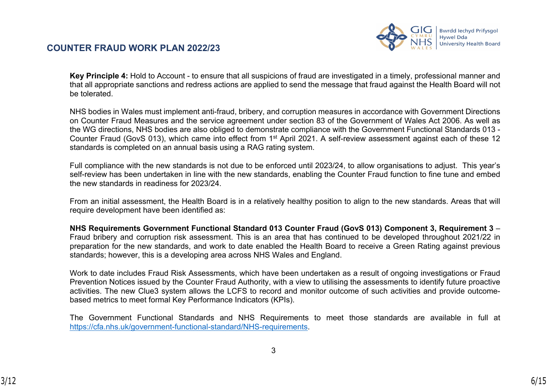

**Key Principle 4:** Hold to Account - to ensure that all suspicions of fraud are investigated in a timely, professional manner and that all appropriate sanctions and redress actions are applied to send the message that fraud against the Health Board will not be tolerated.

NHS bodies in Wales must implement anti-fraud, bribery, and corruption measures in accordance with Government Directions on Counter Fraud Measures and the service agreement under section 83 of the Government of Wales Act 2006. As well as the WG directions, NHS bodies are also obliged to demonstrate compliance with the Government Functional Standards 013 - Counter Fraud (GovS 013), which came into effect from 1<sup>st</sup> April 2021. A self-review assessment against each of these 12 standards is completed on an annual basis using a RAG rating system.

Full compliance with the new standards is not due to be enforced until 2023/24, to allow organisations to adjust. This year's self-review has been undertaken in line with the new standards, enabling the Counter Fraud function to fine tune and embed the new standards in readiness for 2023/24.

From an initial assessment, the Health Board is in a relatively healthy position to align to the new standards. Areas that will require development have been identified as:

**NHS Requirements Government Functional Standard 013 Counter Fraud (GovS 013) Component 3, Requirement 3** – Fraud bribery and corruption risk assessment. This is an area that has continued to be developed throughout 2021/22 in preparation for the new standards, and work to date enabled the Health Board to receive a Green Rating against previous standards; however, this is a developing area across NHS Wales and England.

Work to date includes Fraud Risk Assessments, which have been undertaken as a result of ongoing investigations or Fraud Prevention Notices issued by the Counter Fraud Authority, with a view to utilising the assessments to identify future proactive activities. The new Clue3 system allows the LCFS to record and monitor outcome of such activities and provide outcomebased metrics to meet formal Key Performance Indicators (KPIs).

The Government Functional Standards and NHS Requirements to meet those standards are available in full at [https://cfa.nhs.uk/government-functional-standard/NHS-requirements.](https://cfa.nhs.uk/government-functional-standard/NHS-requirements)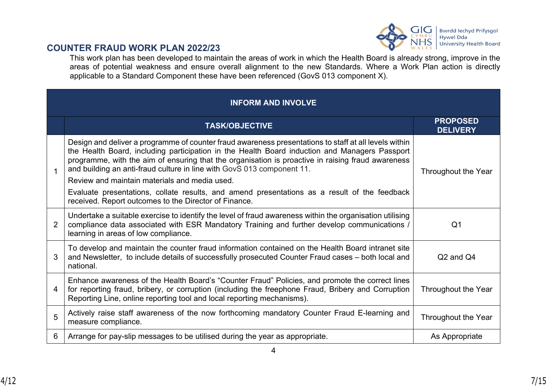

This work plan has been developed to maintain the areas of work in which the Health Board is already strong, improve in the areas of potential weakness and ensure overall alignment to the new Standards. Where a Work Plan action is directly applicable to a Standard Component these have been referenced (GovS 013 component X).

#### **INFORM AND INVOLVE TASK/OBJECTIVE PROPOSED DELIVERY** 1 Design and deliver a programme of counter fraud awareness presentations to staff at all levels within the Health Board, including participation in the Health Board induction and Managers Passport programme, with the aim of ensuring that the organisation is proactive in raising fraud awareness and building an anti-fraud culture in line with GovS 013 component 11. Review and maintain materials and media used. Evaluate presentations, collate results, and amend presentations as a result of the feedback received. Report outcomes to the Director of Finance. Throughout the Year  $\mathfrak{D}$ Undertake a suitable exercise to identify the level of fraud awareness within the organisation utilising compliance data associated with ESR Mandatory Training and further develop communications / learning in areas of low compliance. Q1 3 To develop and maintain the counter fraud information contained on the Health Board intranet site and Newsletter, to include details of successfully prosecuted Counter Fraud cases – both local and national. Q2 and Q4 4 Enhance awareness of the Health Board's "Counter Fraud" Policies, and promote the correct lines for reporting fraud, bribery, or corruption (including the freephone Fraud, Bribery and Corruption Reporting Line, online reporting tool and local reporting mechanisms). Throughout the Year 5 Actively raise staff awareness of the now forthcoming mandatory Counter Fraud E-learning and measure compliance. Throughout the Year 6 Arrange for pay-slip messages to be utilised during the year as appropriate. As Appropriate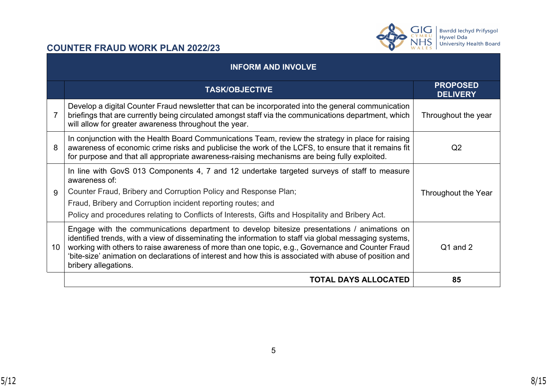



|                 | <b>INFORM AND INVOLVE</b>                                                                                                                                                                                                                                                                                                                                                                                                                     |                                    |
|-----------------|-----------------------------------------------------------------------------------------------------------------------------------------------------------------------------------------------------------------------------------------------------------------------------------------------------------------------------------------------------------------------------------------------------------------------------------------------|------------------------------------|
|                 | <b>TASK/OBJECTIVE</b>                                                                                                                                                                                                                                                                                                                                                                                                                         | <b>PROPOSED</b><br><b>DELIVERY</b> |
|                 | Develop a digital Counter Fraud newsletter that can be incorporated into the general communication<br>briefings that are currently being circulated amongst staff via the communications department, which<br>will allow for greater awareness throughout the year.                                                                                                                                                                           | Throughout the year                |
| 8               | In conjunction with the Health Board Communications Team, review the strategy in place for raising<br>awareness of economic crime risks and publicise the work of the LCFS, to ensure that it remains fit<br>for purpose and that all appropriate awareness-raising mechanisms are being fully exploited.                                                                                                                                     | Q <sub>2</sub>                     |
| 9               | In line with GovS 013 Components 4, 7 and 12 undertake targeted surveys of staff to measure<br>awareness of:<br>Counter Fraud, Bribery and Corruption Policy and Response Plan;<br>Fraud, Bribery and Corruption incident reporting routes; and<br>Policy and procedures relating to Conflicts of Interests, Gifts and Hospitality and Bribery Act.                                                                                           | Throughout the Year                |
| 10 <sup>°</sup> | Engage with the communications department to develop bitesize presentations / animations on<br>identified trends, with a view of disseminating the information to staff via global messaging systems,<br>working with others to raise awareness of more than one topic, e.g., Governance and Counter Fraud<br>'bite-size' animation on declarations of interest and how this is associated with abuse of position and<br>bribery allegations. | Q1 and 2                           |
|                 | <b>TOTAL DAYS ALLOCATED</b>                                                                                                                                                                                                                                                                                                                                                                                                                   | 85                                 |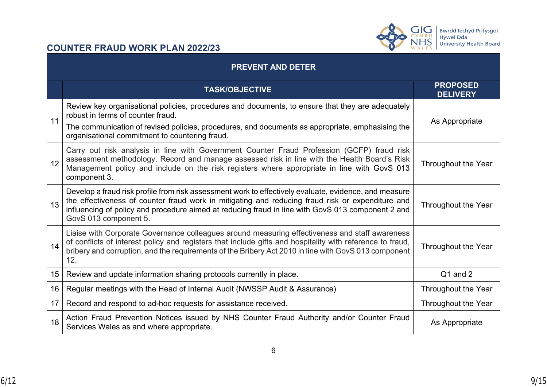



|    | <b>PREVENT AND DETER</b>                                                                                                                                                                                                                                                                                                                |                                    |  |
|----|-----------------------------------------------------------------------------------------------------------------------------------------------------------------------------------------------------------------------------------------------------------------------------------------------------------------------------------------|------------------------------------|--|
|    | <b>TASK/OBJECTIVE</b>                                                                                                                                                                                                                                                                                                                   | <b>PROPOSED</b><br><b>DELIVERY</b> |  |
| 11 | Review key organisational policies, procedures and documents, to ensure that they are adequately<br>robust in terms of counter fraud.<br>The communication of revised policies, procedures, and documents as appropriate, emphasising the<br>organisational commitment to countering fraud.                                             | As Appropriate                     |  |
| 12 | Carry out risk analysis in line with Government Counter Fraud Profession (GCFP) fraud risk<br>assessment methodology. Record and manage assessed risk in line with the Health Board's Risk<br>Management policy and include on the risk registers where appropriate in line with GovS 013<br>component 3.                               | Throughout the Year                |  |
| 13 | Develop a fraud risk profile from risk assessment work to effectively evaluate, evidence, and measure<br>the effectiveness of counter fraud work in mitigating and reducing fraud risk or expenditure and<br>influencing of policy and procedure aimed at reducing fraud in line with GovS 013 component 2 and<br>GovS 013 component 5. | Throughout the Year                |  |
| 14 | Liaise with Corporate Governance colleagues around measuring effectiveness and staff awareness<br>of conflicts of interest policy and registers that include gifts and hospitality with reference to fraud,<br>bribery and corruption, and the requirements of the Bribery Act 2010 in line with GovS 013 component<br>12.              | Throughout the Year                |  |
| 15 | Review and update information sharing protocols currently in place.                                                                                                                                                                                                                                                                     | Q1 and 2                           |  |
| 16 | Regular meetings with the Head of Internal Audit (NWSSP Audit & Assurance)                                                                                                                                                                                                                                                              | Throughout the Year                |  |
| 17 | Record and respond to ad-hoc requests for assistance received.                                                                                                                                                                                                                                                                          | Throughout the Year                |  |
| 18 | Action Fraud Prevention Notices issued by NHS Counter Fraud Authority and/or Counter Fraud<br>Services Wales as and where appropriate.                                                                                                                                                                                                  | As Appropriate                     |  |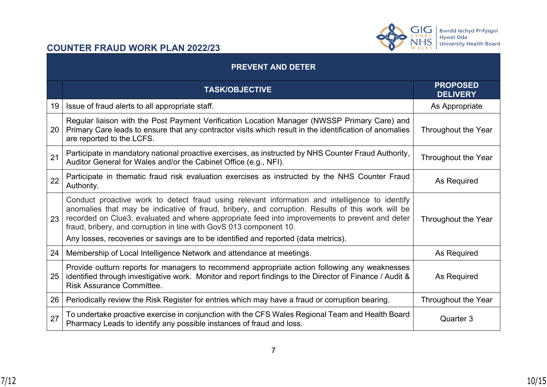

|    | <b>PREVENT AND DETER</b>                                                                                                                                                                                                                                                                                                                                                                                                                                          |                                    |  |
|----|-------------------------------------------------------------------------------------------------------------------------------------------------------------------------------------------------------------------------------------------------------------------------------------------------------------------------------------------------------------------------------------------------------------------------------------------------------------------|------------------------------------|--|
|    | <b>TASK/OBJECTIVE</b>                                                                                                                                                                                                                                                                                                                                                                                                                                             | <b>PROPOSED</b><br><b>DELIVERY</b> |  |
| 19 | Issue of fraud alerts to all appropriate staff.                                                                                                                                                                                                                                                                                                                                                                                                                   | As Appropriate                     |  |
| 20 | Regular liaison with the Post Payment Verification Location Manager (NWSSP Primary Care) and<br>Primary Care leads to ensure that any contractor visits which result in the identification of anomalies<br>are reported to the LCFS.                                                                                                                                                                                                                              | Throughout the Year                |  |
| 21 | Participate in mandatory national proactive exercises, as instructed by NHS Counter Fraud Authority,<br>Auditor General for Wales and/or the Cabinet Office (e.g., NFI).                                                                                                                                                                                                                                                                                          | Throughout the Year                |  |
| 22 | Participate in thematic fraud risk evaluation exercises as instructed by the NHS Counter Fraud<br>Authority.                                                                                                                                                                                                                                                                                                                                                      | As Required                        |  |
| 23 | Conduct proactive work to detect fraud using relevant information and intelligence to identify<br>anomalies that may be indicative of fraud, bribery, and corruption. Results of this work will be<br>recorded on Clue3, evaluated and where appropriate feed into improvements to prevent and deter<br>fraud, bribery, and corruption in line with GovS 013 component 10.<br>Any losses, recoveries or savings are to be identified and reported (data metrics). | Throughout the Year                |  |
| 24 | Membership of Local Intelligence Network and attendance at meetings.                                                                                                                                                                                                                                                                                                                                                                                              | As Required                        |  |
| 25 | Provide outturn reports for managers to recommend appropriate action following any weaknesses<br>identified through investigative work. Monitor and report findings to the Director of Finance / Audit &<br><b>Risk Assurance Committee.</b>                                                                                                                                                                                                                      | As Required                        |  |
| 26 | Periodically review the Risk Register for entries which may have a fraud or corruption bearing.                                                                                                                                                                                                                                                                                                                                                                   | Throughout the Year                |  |
| 27 | To undertake proactive exercise in conjunction with the CFS Wales Regional Team and Health Board<br>Pharmacy Leads to identify any possible instances of fraud and loss.                                                                                                                                                                                                                                                                                          | Quarter 3                          |  |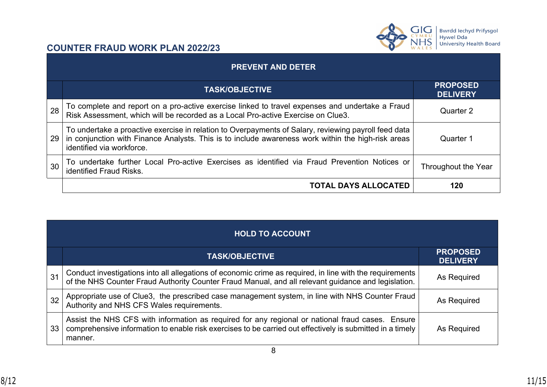

|    | <b>PREVENT AND DETER</b>                                                                                                                                                                                                                |                                    |  |
|----|-----------------------------------------------------------------------------------------------------------------------------------------------------------------------------------------------------------------------------------------|------------------------------------|--|
|    | <b>TASK/OBJECTIVE</b>                                                                                                                                                                                                                   | <b>PROPOSED</b><br><b>DELIVERY</b> |  |
| 28 | To complete and report on a pro-active exercise linked to travel expenses and undertake a Fraud<br>Risk Assessment, which will be recorded as a Local Pro-active Exercise on Clue3.                                                     | Quarter 2                          |  |
| 29 | To undertake a proactive exercise in relation to Overpayments of Salary, reviewing payroll feed data<br>in conjunction with Finance Analysts. This is to include awareness work within the high-risk areas<br>identified via workforce. | Quarter 1                          |  |
| 30 | To undertake further Local Pro-active Exercises as identified via Fraud Prevention Notices or<br><b>identified Fraud Risks.</b>                                                                                                         | Throughout the Year                |  |
|    | <b>TOTAL DAYS ALLOCATED</b>                                                                                                                                                                                                             | 120                                |  |

|    | <b>HOLD TO ACCOUNT</b>                                                                                                                                                                                                   |                                    |  |
|----|--------------------------------------------------------------------------------------------------------------------------------------------------------------------------------------------------------------------------|------------------------------------|--|
|    | <b>TASK/OBJECTIVE</b>                                                                                                                                                                                                    | <b>PROPOSED</b><br><b>DELIVERY</b> |  |
| 31 | Conduct investigations into all allegations of economic crime as required, in line with the requirements of the NHS Counter Fraud Authority Counter Fraud Manual, and all relevant guidance and legislation.             | As Required                        |  |
| 32 | Appropriate use of Clue3,  the prescribed case management system, in line with NHS Counter Fraud Authority and NHS CFS Wales requirements.                                                                               | As Required                        |  |
| 33 | Assist the NHS CFS with information as required for any regional or national fraud cases. Ensure<br>comprehensive information to enable risk exercises to be carried out effectively is submitted in a timely<br>manner. | As Required                        |  |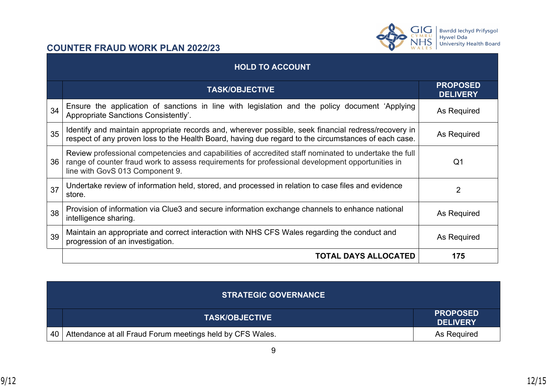

|    | <b>HOLD TO ACCOUNT</b>                                                                                                                                                                                                                       |                                    |  |
|----|----------------------------------------------------------------------------------------------------------------------------------------------------------------------------------------------------------------------------------------------|------------------------------------|--|
|    | <b>TASK/OBJECTIVE</b>                                                                                                                                                                                                                        | <b>PROPOSED</b><br><b>DELIVERY</b> |  |
| 34 | Ensure the application of sanctions in line with legislation and the policy document 'Applying<br>Appropriate Sanctions Consistently'.                                                                                                       | As Required                        |  |
| 35 | Identify and maintain appropriate records and, wherever possible, seek financial redress/recovery in<br>respect of any proven loss to the Health Board, having due regard to the circumstances of each case.                                 | As Required                        |  |
| 36 | Review professional competencies and capabilities of accredited staff nominated to undertake the full<br>range of counter fraud work to assess requirements for professional development opportunities in<br>line with GovS 013 Component 9. | Q1                                 |  |
| 37 | Undertake review of information held, stored, and processed in relation to case files and evidence<br>store.                                                                                                                                 | $\overline{2}$                     |  |
| 38 | Provision of information via Clue3 and secure information exchange channels to enhance national<br>intelligence sharing.                                                                                                                     | As Required                        |  |
| 39 | Maintain an appropriate and correct interaction with NHS CFS Wales regarding the conduct and<br>progression of an investigation.                                                                                                             | As Required                        |  |
|    | <b>TOTAL DAYS ALLOCATED</b>                                                                                                                                                                                                                  | 175                                |  |

|    | <b>STRATEGIC GOVERNANCE</b>                               |                                    |
|----|-----------------------------------------------------------|------------------------------------|
|    | <b>TASK/OBJECTIVE</b>                                     | <b>PROPOSED</b><br><b>DELIVERY</b> |
| 40 | Attendance at all Fraud Forum meetings held by CFS Wales. | As Required                        |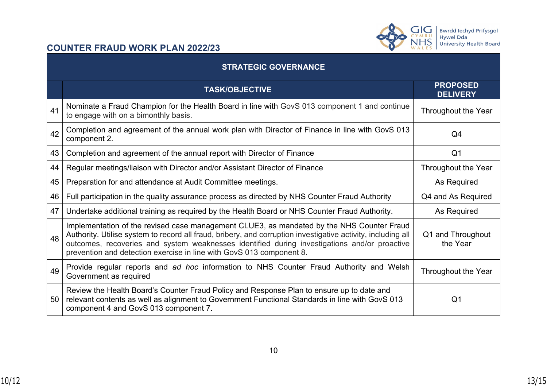

| <b>STRATEGIC GOVERNANCE</b> |                                                                                                                                                                                                                                                                                                                                                                                   |                                    |  |  |
|-----------------------------|-----------------------------------------------------------------------------------------------------------------------------------------------------------------------------------------------------------------------------------------------------------------------------------------------------------------------------------------------------------------------------------|------------------------------------|--|--|
|                             | <b>TASK/OBJECTIVE</b>                                                                                                                                                                                                                                                                                                                                                             | <b>PROPOSED</b><br><b>DELIVERY</b> |  |  |
| 41                          | Nominate a Fraud Champion for the Health Board in line with GovS 013 component 1 and continue<br>to engage with on a bimonthly basis.                                                                                                                                                                                                                                             | Throughout the Year                |  |  |
| 42                          | Completion and agreement of the annual work plan with Director of Finance in line with GovS 013<br>component 2.                                                                                                                                                                                                                                                                   | Q4                                 |  |  |
| 43                          | Completion and agreement of the annual report with Director of Finance                                                                                                                                                                                                                                                                                                            | Q <sub>1</sub>                     |  |  |
| 44                          | Regular meetings/liaison with Director and/or Assistant Director of Finance                                                                                                                                                                                                                                                                                                       | Throughout the Year                |  |  |
| 45                          | Preparation for and attendance at Audit Committee meetings.                                                                                                                                                                                                                                                                                                                       | As Required                        |  |  |
| 46                          | Full participation in the quality assurance process as directed by NHS Counter Fraud Authority                                                                                                                                                                                                                                                                                    | Q4 and As Required                 |  |  |
| 47                          | Undertake additional training as required by the Health Board or NHS Counter Fraud Authority.                                                                                                                                                                                                                                                                                     | As Required                        |  |  |
| 48                          | Implementation of the revised case management CLUE3, as mandated by the NHS Counter Fraud<br>Authority. Utilise system to record all fraud, bribery, and corruption investigative activity, including all<br>outcomes, recoveries and system weaknesses identified during investigations and/or proactive<br>prevention and detection exercise in line with GovS 013 component 8. | Q1 and Throughout<br>the Year      |  |  |
| 49                          | Provide regular reports and ad hoc information to NHS Counter Fraud Authority and Welsh<br>Government as required                                                                                                                                                                                                                                                                 | Throughout the Year                |  |  |
| 50                          | Review the Health Board's Counter Fraud Policy and Response Plan to ensure up to date and<br>relevant contents as well as alignment to Government Functional Standards in line with GovS 013<br>component 4 and GovS 013 component 7.                                                                                                                                             | Q <sub>1</sub>                     |  |  |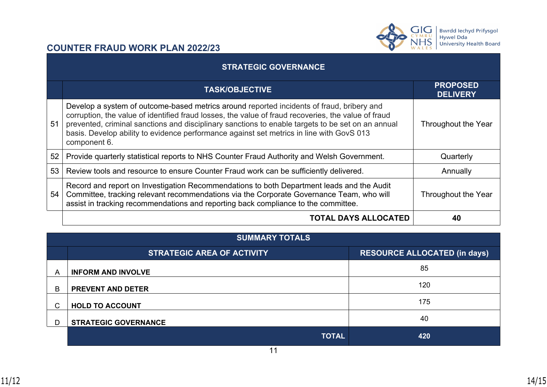



| <b>STRATEGIC GOVERNANCE</b> |                                                                                                                                                                                                                                                                                                                                                                                                                   |                                    |  |  |
|-----------------------------|-------------------------------------------------------------------------------------------------------------------------------------------------------------------------------------------------------------------------------------------------------------------------------------------------------------------------------------------------------------------------------------------------------------------|------------------------------------|--|--|
|                             | <b>TASK/OBJECTIVE</b>                                                                                                                                                                                                                                                                                                                                                                                             | <b>PROPOSED</b><br><b>DELIVERY</b> |  |  |
| 51                          | Develop a system of outcome-based metrics around reported incidents of fraud, bribery and<br>corruption, the value of identified fraud losses, the value of fraud recoveries, the value of fraud<br>prevented, criminal sanctions and disciplinary sanctions to enable targets to be set on an annual<br>basis. Develop ability to evidence performance against set metrics in line with GovS 013<br>component 6. | Throughout the Year                |  |  |
| 52                          | Provide quarterly statistical reports to NHS Counter Fraud Authority and Welsh Government.                                                                                                                                                                                                                                                                                                                        | Quarterly                          |  |  |
| 53                          | Review tools and resource to ensure Counter Fraud work can be sufficiently delivered.                                                                                                                                                                                                                                                                                                                             | Annually                           |  |  |
| 54                          | Record and report on Investigation Recommendations to both Department leads and the Audit<br>Committee, tracking relevant recommendations via the Corporate Governance Team, who will<br>assist in tracking recommendations and reporting back compliance to the committee.                                                                                                                                       | Throughout the Year                |  |  |
|                             | <b>TOTAL DAYS ALLOCATED</b>                                                                                                                                                                                                                                                                                                                                                                                       | 40                                 |  |  |

| <b>SUMMARY TOTALS</b> |                                   |                                     |  |  |
|-----------------------|-----------------------------------|-------------------------------------|--|--|
|                       | <b>STRATEGIC AREA OF ACTIVITY</b> | <b>RESOURCE ALLOCATED (in days)</b> |  |  |
| A                     | <b>INFORM AND INVOLVE</b>         | 85                                  |  |  |
| B                     | <b>PREVENT AND DETER</b>          | 120                                 |  |  |
| С                     | <b>HOLD TO ACCOUNT</b>            | 175                                 |  |  |
| D                     | <b>STRATEGIC GOVERNANCE</b>       | 40                                  |  |  |
|                       | <b>TOTAL</b>                      | 420                                 |  |  |